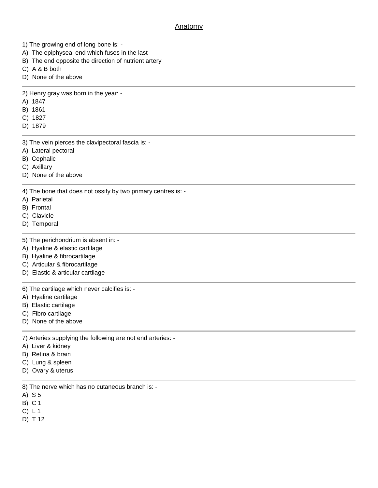## **Anatomy**

- 1) The growing end of long bone is: -
- A) The epiphyseal end which fuses in the last
- B) The end opposite the direction of nutrient artery
- C) A & B both
- D) None of the above

2) Henry gray was born in the year: -

- A) 1847
- B) 1861
- C) 1827
- D) 1879
- 3) The vein pierces the clavipectoral fascia is: -
- A) Lateral pectoral
- B) Cephalic
- C) Axillary
- D) None of the above

4) The bone that does not ossify by two primary centres is: -

- A) Parietal
- B) Frontal
- C) Clavicle
- D) Temporal
- 5) The perichondrium is absent in: -
- A) Hyaline & elastic cartilage
- B) Hyaline & fibrocartilage
- C) Articular & fibrocartilage
- D) Elastic & articular cartilage

6) The cartilage which never calcifies is: -

- A) Hyaline cartilage
- B) Elastic cartilage
- C) Fibro cartilage
- D) None of the above

7) Arteries supplying the following are not end arteries: -

- A) Liver & kidney
- B) Retina & brain
- C) Lung & spleen
- D) Ovary & uterus
- 8) The nerve which has no cutaneous branch is: -
- A) S 5
- B) C 1
- C) L 1
- D) T 12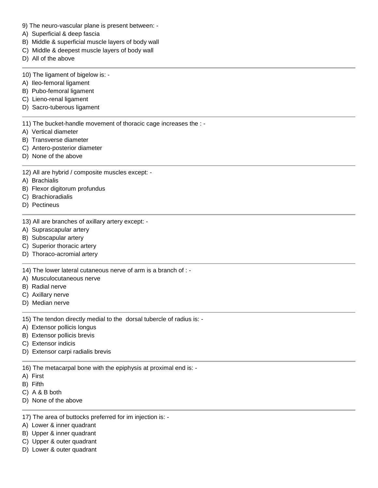- 9) The neuro-vascular plane is present between: -
- A) Superficial & deep fascia
- B) Middle & superficial muscle layers of body wall
- C) Middle & deepest muscle layers of body wall
- D) All of the above
- 10) The ligament of bigelow is: -
- A) Ileo-femoral ligament
- B) Pubo-femoral ligament
- C) Lieno-renal ligament
- D) Sacro-tuberous ligament

11) The bucket-handle movement of thoracic cage increases the : -

- A) Vertical diameter
- B) Transverse diameter
- C) Antero-posterior diameter
- D) None of the above
- 12) All are hybrid / composite muscles except: -
- A) Brachialis
- B) Flexor digitorum profundus
- C) Brachioradialis
- D) Pectineus
- 13) All are branches of axillary artery except: -
- A) Suprascapular artery
- B) Subscapular artery
- C) Superior thoracic artery
- D) Thoraco-acromial artery

14) The lower lateral cutaneous nerve of arm is a branch of : -

- A) Musculocutaneous nerve
- B) Radial nerve
- C) Axillary nerve
- D) Median nerve

15) The tendon directly medial to the dorsal tubercle of radius is: -

- A) Extensor pollicis longus
- B) Extensor pollicis brevis
- C) Extensor indicis
- D) Extensor carpi radialis brevis

16) The metacarpal bone with the epiphysis at proximal end is: -

- A) First
- B) Fifth
- C) A & B both
- D) None of the above
- 17) The area of buttocks preferred for im injection is: -
- A) Lower & inner quadrant
- B) Upper & inner quadrant
- C) Upper & outer quadrant
- D) Lower & outer quadrant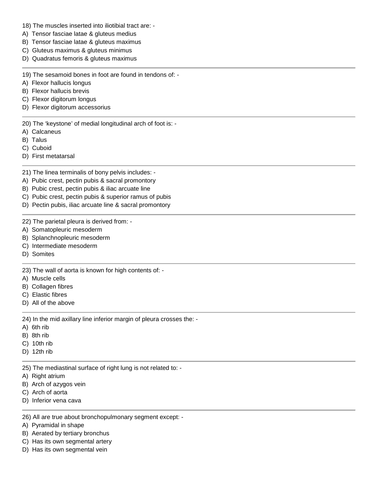- 18) The muscles inserted into iliotibial tract are: -
- A) Tensor fasciae latae & gluteus medius
- B) Tensor fasciae latae & gluteus maximus
- C) Gluteus maximus & gluteus minimus
- D) Quadratus femoris & gluteus maximus

19) The sesamoid bones in foot are found in tendons of: -

- A) Flexor hallucis longus
- B) Flexor hallucis brevis
- C) Flexor digitorum longus
- D) Flexor digitorum accessorius

20) The 'keystone' of medial longitudinal arch of foot is: -

- A) Calcaneus
- B) Talus
- C) Cuboid
- D) First metatarsal

21) The linea terminalis of bony pelvis includes: -

- A) Pubic crest, pectin pubis & sacral promontory
- B) Pubic crest, pectin pubis & iliac arcuate line
- C) Pubic crest, pectin pubis & superior ramus of pubis
- D) Pectin pubis, iliac arcuate line & sacral promontory

22) The parietal pleura is derived from: -

- A) Somatopleuric mesoderm
- B) Splanchnopleuric mesoderm
- C) Intermediate mesoderm
- D) Somites

23) The wall of aorta is known for high contents of: -

- A) Muscle cells
- B) Collagen fibres
- C) Elastic fibres
- D) All of the above

24) In the mid axillary line inferior margin of pleura crosses the: -

- A) 6th rib
- B) 8th rib
- C) 10th rib
- D) 12th rib

25) The mediastinal surface of right lung is not related to: -

- A) Right atrium
- B) Arch of azygos vein
- C) Arch of aorta
- D) Inferior vena cava
- 26) All are true about bronchopulmonary segment except: -
- A) Pyramidal in shape
- B) Aerated by tertiary bronchus
- C) Has its own segmental artery
- D) Has its own segmental vein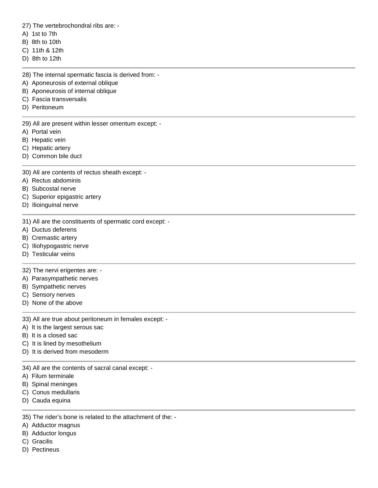27) The vertebrochondral ribs are: -

- A) 1st to 7th
- B) 8th to 10th
- C) 11th & 12th
- D) 8th to 12th
- 28) The internal spermatic fascia is derived from: -
- A) Aponeurosis of external oblique
- B) Aponeurosis of internal oblique
- C) Fascia transversalis
- D) Peritoneum

29) All are present within lesser omentum except: -

- A) Portal vein
- B) Hepatic vein
- C) Hepatic artery
- D) Common bile duct
- 30) All are contents of rectus sheath except: -
- A) Rectus abdominis
- B) Subcostal nerve
- C) Superior epigastric artery
- D) Ilioinguinal nerve
- 31) All are the constituents of spermatic cord except: -
- A) Ductus deferens
- B) Cremastic artery
- C) Iliohypogastric nerve
- D) Testicular veins

## 32) The nervi erigentes are: -

- A) Parasympathetic nerves
- B) Sympathetic nerves
- C) Sensory nerves
- D) None of the above

33) All are true about peritoneum in females except: -

- A) It is the largest serous sac
- B) It is a closed sac
- C) It is lined by mesothelium
- D) It is derived from mesoderm
- 34) All are the contents of sacral canal except: -
- A) Filum terminale
- B) Spinal meninges
- C) Conus medullaris
- D) Cauda equina
- 35) The rider's bone is related to the attachment of the: -
- A) Adductor magnus
- B) Adductor longus
- C) Gracilis
- D) Pectineus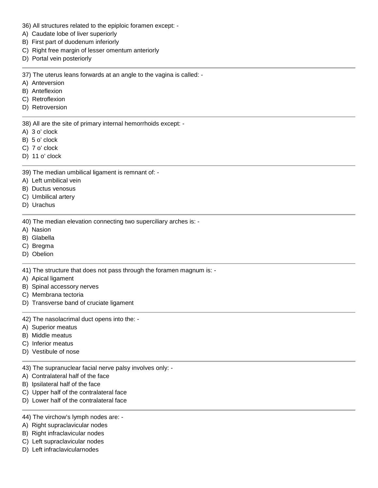- 36) All structures related to the epiploic foramen except: -
- A) Caudate lobe of liver superiorly
- B) First part of duodenum inferiorly
- C) Right free margin of lesser omentum anteriorly
- D) Portal vein posteriorly

37) The uterus leans forwards at an angle to the vagina is called: -

- A) Anteversion
- B) Anteflexion
- C) Retroflexion
- D) Retroversion

38) All are the site of primary internal hemorrhoids except: -

- A) 3 o' clock
- B) 5 o' clock
- C) 7 o' clock
- D) 11 o' clock

39) The median umbilical ligament is remnant of: -

- A) Left umbilical vein
- B) Ductus venosus
- C) Umbilical artery
- D) Urachus

40) The median elevation connecting two superciliary arches is: -

- A) Nasion
- B) Glabella
- C) Bregma
- D) Obelion

41) The structure that does not pass through the foramen magnum is: -

- A) Apical ligament
- B) Spinal accessory nerves
- C) Membrana tectoria
- D) Transverse band of cruciate ligament

42) The nasolacrimal duct opens into the: -

- A) Superior meatus
- B) Middle meatus
- C) Inferior meatus
- D) Vestibule of nose

43) The supranuclear facial nerve palsy involves only: -

- A) Contralateral half of the face
- B) Ipsilateral half of the face
- C) Upper half of the contralateral face
- D) Lower half of the contralateral face
- 44) The virchow's lymph nodes are: -
- A) Right supraclavicular nodes
- B) Right infraclavicular nodes
- C) Left supraclavicular nodes
- D) Left infraclavicularnodes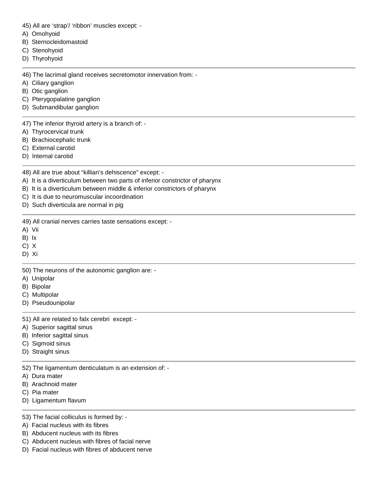45) All are 'strap'/ 'ribbon' muscles except: -

- A) Omohyoid
- B) Sternocleidomastoid
- C) Stenohyoid
- D) Thyrohyoid

46) The lacrimal gland receives secretomotor innervation from: -

- A) Ciliary ganglion
- B) Otic ganglion
- C) Pterygopalatine ganglion
- D) Submandibular ganglion

47) The inferior thyroid artery is a branch of: -

- A) Thyrocervical trunk
- B) Brachiocephalic trunk
- C) External carotid
- D) Internal carotid

48) All are true about "killian's dehiscence" except: -

- A) It is a diverticulum between two parts of inferior constrictor of pharynx
- B) It is a diverticulum between middle & inferior constrictors of pharynx
- C) It is due to neuromuscular incoordination
- D) Such diverticula are normal in pig

49) All cranial nerves carries taste sensations except: -

- A) Vii
- B) Ix
- C) X
- D) Xi

50) The neurons of the autonomic ganglion are: -

- A) Unipolar
- B) Bipolar
- C) Multipolar
- D) Pseudounipolar

51) All are related to falx cerebri except: -

- A) Superior sagittal sinus
- B) Inferior sagittal sinus
- C) Sigmoid sinus
- D) Straight sinus

52) The ligamentum denticulatum is an extension of: -

- A) Dura mater
- B) Arachnoid mater
- C) Pia mater
- D) Ligamentum flavum
- 53) The facial colliculus is formed by: -
- A) Facial nucleus with its fibres
- B) Abducent nucleus with its fibres
- C) Abducent nucleus with fibres of facial nerve
- D) Facial nucleus with fibres of abducent nerve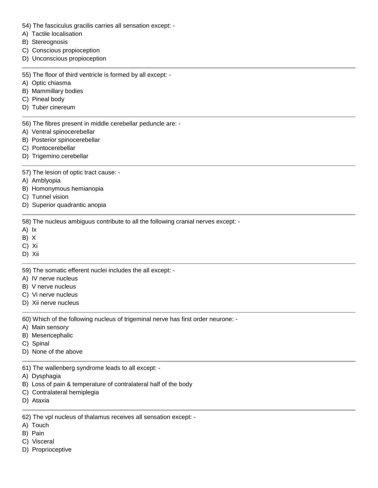- 54) The fasciculus gracilis carries all sensation except: -
- A) Tactile localisation
- B) Stereognosis
- C) Conscious propioception
- D) Unconscious propioception
- 55) The floor of third ventricle is formed by all except: -
- A) Optic chiasma
- B) Mammillary bodies
- C) Pineal body
- D) Tuber cinereum
- 56) The fibres present in middle cerebellar peduncle are: -
- A) Ventral spinocerebellar
- B) Posterior spinocerebellar
- C) Pontocerebellar
- D) Trigemino cerebellar
- 57) The lesion of optic tract cause: -
- A) Amblyopia
- B) Homonymous hemianopia
- C) Tunnel vision
- D) Superior quadrantic anopia

58) The nucleus ambiguus contribute to all the following cranial nerves except: -

- A) Ix
- B) X
- C) Xi
- D) Xii

59) The somatic efferent nuclei includes the all except: -

- A) IV nerve nucleus
- B) V nerve nucleus
- C) Vi nerve nucleus
- D) Xii nerve nucleus

60) Which of the following nucleus of trigeminal nerve has first order neurone: -

- A) Main sensory
- B) Mesencephalic
- C) Spinal
- D) None of the above
- 61) The wallenberg syndrome leads to all except: -
- A) Dysphagia
- B) Loss of pain & temperature of contralateral half of the body
- C) Contralateral hemiplegia
- D) Ataxia

62) The vpl nucleus of thalamus receives all sensation except: -

- A) Touch
- B) Pain
- C) Visceral
- D) Proprioceptive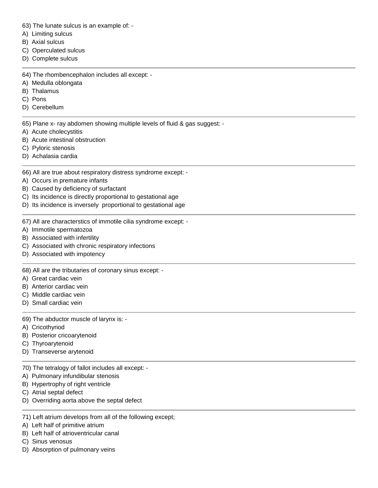- 63) The lunate sulcus is an example of: -
- A) Limiting sulcus
- B) Axial sulcus
- C) Operculated sulcus
- D) Complete sulcus
- 64) The rhombencephalon includes all except: -
- A) Medulla oblongata
- B) Thalamus
- C) Pons
- D) Cerebellum

65) Plane x- ray abdomen showing multiple levels of fluid & gas suggest: -

- A) Acute cholecystitis
- B) Acute intestinal obstruction
- C) Pyloric stenosis
- D) Achalasia cardia
- 66) All are true about respiratory distress syndrome except: -
- A) Occurs in premature infants
- B) Caused by deficiency of surfactant
- C) Its incidence is directly proportional to gestational age
- D) Its incidence is inversely proportional to gestational age
- 67) All are characterstics of immotile cilia syndrome except: -
- A) Immotile spermatozoa
- B) Associated with infertility
- C) Associated with chronic respiratory infections
- D) Associated with impotency

68) All are the tributaries of coronary sinus except: -

- A) Great cardiac vein
- B) Anterior cardiac vein
- C) Middle cardiac vein
- D) Small cardiac vein

## 69) The abductor muscle of larynx is: -

- A) Cricothyriod
- B) Posterior cricoarytenoid
- C) Thyroarytenoid
- D) Transeverse arytenoid
- 70) The tetralogy of fallot includes all except: -
- A) Pulmonary infundibular stenosis
- B) Hypertrophy of right ventricle
- C) Atrial septal defect
- D) Overriding aorta above the septal defect
- 71) Left atrium develops from all of the following except;
- A) Left half of primitive atrium
- B) Left half of atrioventricular canal
- C) Sinus venosus
- D) Absorption of pulmonary veins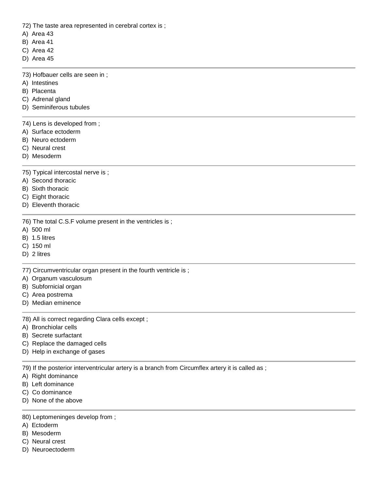72) The taste area represented in cerebral cortex is ;

- A) Area 43
- B) Area 41
- C) Area 42
- D) Area 45

73) Hofbauer cells are seen in ;

- A) Intestines
- B) Placenta
- C) Adrenal gland
- D) Seminiferous tubules

74) Lens is developed from ;

- A) Surface ectoderm
- B) Neuro ectoderm
- C) Neural crest
- D) Mesoderm

75) Typical intercostal nerve is ;

- A) Second thoracic
- B) Sixth thoracic
- C) Eight thoracic
- D) Eleventh thoracic

76) The total C.S.F volume present in the ventricles is ;

- A) 500 ml
- B) 1.5 litres
- C) 150 ml
- D) 2 litres

77) Circumventricular organ present in the fourth ventricle is ;

- A) Organum vasculosum
- B) Subfornicial organ
- C) Area postrema
- D) Median eminence

78) All is correct regarding Clara cells except ;

- A) Bronchiolar cells
- B) Secrete surfactant
- C) Replace the damaged cells
- D) Help in exchange of gases

79) If the posterior interventricular artery is a branch from Circumflex artery it is called as ;

- A) Right dominance
- B) Left dominance
- C) Co dominance
- D) None of the above

## 80) Leptomeninges develop from ;

- A) Ectoderm
- B) Mesoderm
- C) Neural crest
- D) Neuroectoderm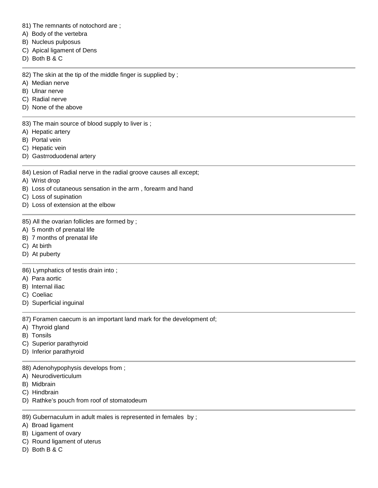- 81) The remnants of notochord are ;
- A) Body of the vertebra
- B) Nucleus pulposus
- C) Apical ligament of Dens
- D) Both B & C

82) The skin at the tip of the middle finger is supplied by;

- A) Median nerve
- B) Ulnar nerve
- C) Radial nerve
- D) None of the above

83) The main source of blood supply to liver is;

- A) Hepatic artery
- B) Portal vein
- C) Hepatic vein
- D) Gastrroduodenal artery
- 84) Lesion of Radial nerve in the radial groove causes all except;
- A) Wrist drop
- B) Loss of cutaneous sensation in the arm , forearm and hand
- C) Loss of supination
- D) Loss of extension at the elbow
- 85) All the ovarian follicles are formed by ;
- A) 5 month of prenatal life
- B) 7 months of prenatal life
- C) At birth
- D) At puberty

86) Lymphatics of testis drain into ;

- A) Para aortic
- B) Internal iliac
- C) Coeliac
- D) Superficial inguinal

87) Foramen caecum is an important land mark for the development of;

- A) Thyroid gland
- B) Tonsils
- C) Superior parathyroid
- D) Inferior parathyroid

88) Adenohypophysis develops from ;

- A) Neurodiverticulum
- B) Midbrain
- C) Hindbrain
- D) Rathke's pouch from roof of stomatodeum
- 89) Gubernaculum in adult males is represented in females by;
- A) Broad ligament
- B) Ligament of ovary
- C) Round ligament of uterus
- D) Both B & C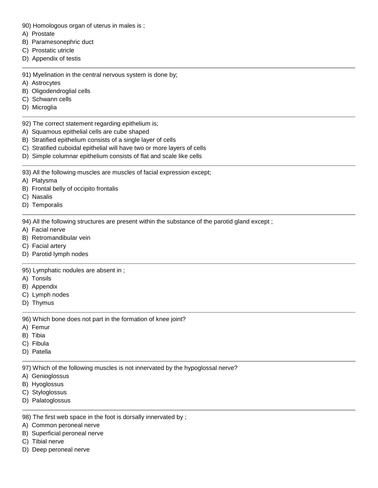- 90) Homologous organ of uterus in males is ;
- A) Prostate
- B) Paramesonephric duct
- C) Prostatic utricle
- D) Appendix of testis

91) Myelination in the central nervous system is done by;

- A) Astrocytes
- B) Oligodendroglial cells
- C) Schwann cells
- D) Microglia

92) The correct statement regarding epithelium is;

- A) Squamous epithelial cells are cube shaped
- B) Stratified epithelium consists of a single layer of cells
- C) Stratified cuboidal epithelial will have two or more layers of cells
- D) Simple columnar epithelium consists of flat and scale like cells

93) All the following muscles are muscles of facial expression except;

- A) Platysma
- B) Frontal belly of occipito frontalis
- C) Nasalis
- D) Temporalis

94) All the following structures are present within the substance of the parotid gland except ;

- A) Facial nerve
- B) Retromandibular vein
- C) Facial artery
- D) Parotid lymph nodes

95) Lymphatic nodules are absent in ;

- A) Tonsils
- B) Appendix
- C) Lymph nodes
- D) Thymus

96) Which bone does not part in the formation of knee joint?

- A) Femur
- B) Tibia
- C) Fibula
- D) Patella

97) Which of the following muscles is not innervated by the hypoglossal nerve?

- A) Genioglossus
- B) Hyoglossus
- C) Styloglossus
- D) Palatoglossus

98) The first web space in the foot is dorsally innervated by ;

- A) Common peroneal nerve
- B) Superficial peroneal nerve
- C) Tibial nerve
- D) Deep peroneal nerve